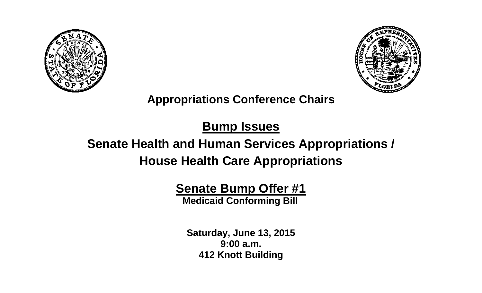



## **Appropriations Conference Chairs**

# **Bump Issues**

# **Senate Health and Human Services Appropriations / House Health Care Appropriations**

# **Senate Bump Offer #1**

 **Medicaid Conforming Bill**

**Saturday, June 13, 2015 9:00 a.m. 412 Knott Building**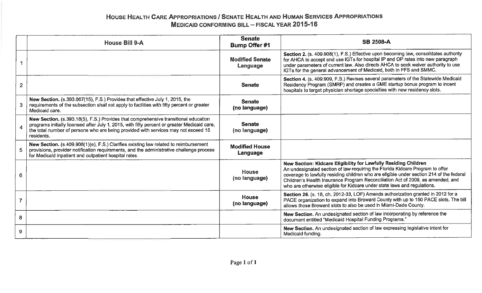### HOUSE HEALTH CARE APPROPRIATIONS / SENATE HEALTH AND HUMAN SERVICES APPROPRIATIONS **MEDICAID CONFORMING BILL - FISCAL YEAR 2015-16**

|                | <b>House Bill 9-A</b>                                                                                                                                                                                                                                                                   | <b>Senate</b><br><b>Bump Offer #1</b> | <b>SB 2508-A</b>                                                                                                                                                                                                                                                                                                                                                                                            |
|----------------|-----------------------------------------------------------------------------------------------------------------------------------------------------------------------------------------------------------------------------------------------------------------------------------------|---------------------------------------|-------------------------------------------------------------------------------------------------------------------------------------------------------------------------------------------------------------------------------------------------------------------------------------------------------------------------------------------------------------------------------------------------------------|
|                |                                                                                                                                                                                                                                                                                         | <b>Modified Senate</b><br>Language    | Section 2. (s. 409.908(1), F.S.) Effective upon becoming law, consolidates authority<br>for AHCA to accept and use IGTs for hospital IP and OP rates into new paragraph<br>under parameters of current law. Also directs AHCA to seek waiver authority to use<br>IGTs for the general advancement of Medicaid, both in FFS and SMMC.                                                                        |
| $\overline{2}$ |                                                                                                                                                                                                                                                                                         | <b>Senate</b>                         | Section 4. (s. 409.909, F.S.) Revises several parameters of the Statewide Medicaid<br>Residency Program (SMRP) and creates a GME startup bonus program to incent<br>hospitals to target physician shortage specialties with new residency slots.                                                                                                                                                            |
| 3              | New Section. (s.393.067(15), F.S.) Provides that effective July 1, 2015, the<br>requirements of the subsection shall not apply to facilities with fifty percent or greater<br>Medicaid care.                                                                                            | <b>Senate</b><br>(no language)        |                                                                                                                                                                                                                                                                                                                                                                                                             |
|                | New Section. (s.393.18(5), F.S.) Provides that comprehensive transitional education<br>programs initially licensed after July 1, 2015, with fifty percent or greater Medicaid care,<br>the total number of persons who are being provided with services may not exceed 15<br>residents. | <b>Senate</b><br>(no language)        |                                                                                                                                                                                                                                                                                                                                                                                                             |
| 5              | New Section. (s.409.908(1)(e), F.S.) Clarifies existing law related to reimbursement<br>provisions, provider notification requirements, and the administrative challenge process<br>for Medicaid inpatient and outpatient hospital rates.                                               | <b>Modified House</b><br>Language     |                                                                                                                                                                                                                                                                                                                                                                                                             |
| 6              |                                                                                                                                                                                                                                                                                         | <b>House</b><br>(no language)         | New Section: Kidcare Eligibility for Lawfully Residing Children<br>An undesignated section of law requiring the Florida Kidcare Program to offer<br>coverage to lawfully residing children who are eligible under section 214 of the federal<br>Children's Health Insurance Program Reconciliation Act of 2009, as amended, and<br>who are otherwise eligible for Kidcare under state laws and regulations. |
| $\overline{7}$ |                                                                                                                                                                                                                                                                                         | <b>House</b><br>(no language)         | Section 26. (s. 18, ch. 2012-33, LOF) Amends authorization granted in 2012 for a<br>PACE organization to expand into Broward County with up to 150 PACE slots. The bill<br>allows those Broward slots to also be used in Miami-Dade County.                                                                                                                                                                 |
| 8              |                                                                                                                                                                                                                                                                                         |                                       | New Section. An undesignated section of law incorporating by reference the<br>document entitled "Medicaid Hospital Funding Programs."                                                                                                                                                                                                                                                                       |
| 9              |                                                                                                                                                                                                                                                                                         |                                       | New Section. An undesignated section of law expressing legislative intent for<br>Medicaid funding.                                                                                                                                                                                                                                                                                                          |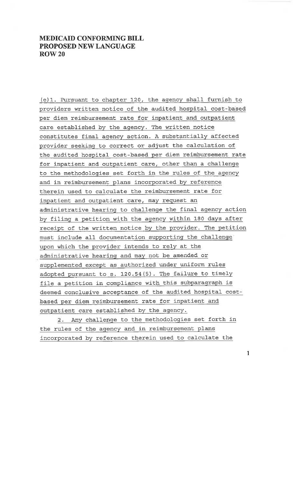#### **MEDICAID CONFORMING BILL** PROPOSED NEW LANGUAGE **ROW 20**

(e)1. Pursuant to chapter 120, the agency shall furnish to providers written notice of the audited hospital cost-based per diem reimbursement rate for inpatient and outpatient care established by the agency. The written notice constitutes final agency action. A substantially affected provider seeking to correct or adjust the calculation of the audited hospital cost-based per diem reimbursement rate for inpatient and outpatient care, other than a challenge to the methodologies set forth in the rules of the agency and in reimbursement plans incorporated by reference therein used to calculate the reimbursement rate for inpatient and outpatient care, may request an administrative hearing to challenge the final agency action by filing a petition with the agency within 180 days after receipt of the written notice by the provider. The petition must include all documentation supporting the challenge upon which the provider intends to rely at the administrative hearing and may not be amended or supplemented except as authorized under uniform rules adopted pursuant to s. 120.54(5). The failure to timely file a petition in compliance with this subparagraph is deemed conclusive acceptance of the audited hospital costbased per diem reimbursement rate for inpatient and outpatient care established by the agency.

2. Any challenge to the methodologies set forth in the rules of the agency and in reimbursement plans incorporated by reference therein used to calculate the

 $\mathbf{1}$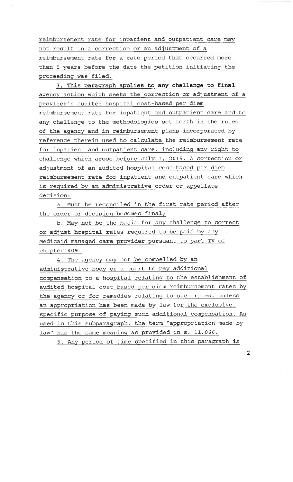reimbursement rate for inpatient and outpatient care may not result in a correction or an adjustment of a reimbursement rate for a rate period that occurred more than 5 years before the date the petition initiating the proceeding was filed.

3. This paragraph applies to any challenge to final agency action which seeks the correction or adjustment of a provider's audited hospital cost-based per diem reimbursement rate for inpatient and outpatient care and to any challenge to the methodologies set forth in the rules of the agency and in reimbursement plans incorporated by reference therein used to calculate the reimbursement rate for inpatient and outpatient care, including any right to challenge which arose before July 1, 2015. A correction or adjustment of an audited hospital cost-based per diem reimbursement rate for inpatient and outpatient care which is required by an administrative order or appellate decision:

a. Must be reconciled in the first rate period after the order or decision becomes final;

b. May not be the basis for any challenge to correct or adjust hospital rates required to be paid by any Medicaid managed care provider pursuant to part IV of chapter 409.

4. The agency may not be compelled by an administrative body or a court to pay additional compensation to a hospital relating to the establishment of audited hospital cost-based per diem reimbursement rates by the agency or for remedies relating to such rates, unless an appropriation has been made by law for the exclusive, specific purpose of paying such additional compensation. As used in this subparagraph, the term "appropriation made by law" has the same meaning as provided in s. 11.066.

5. Any period of time specified in this paragraph is

 $\overline{2}$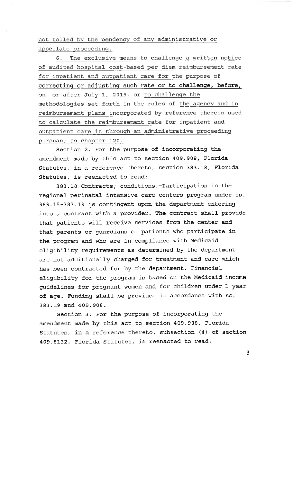not tolled by the pendency of any administrative or appellate proceeding.

6. The exclusive means to challenge a written notice of audited hospital cost-based per diem reimbursement rate for inpatient and outpatient care for the purpose of correcting or adjusting such rate or to challenge, before, on, or after July 1, 2015, or to challenge the methodologies set forth in the rules of the agency and in reimbursement plans incorporated by reference therein used to calculate the reimbursement rate for inpatient and outpatient care is through an administrative proceeding pursuant to chapter 120.

Section 2. For the purpose of incorporating the amendment made by this act to section 409.908, Florida Statutes, in a reference thereto, section 383.18, Florida Statutes, is reenacted to read:

383.18 Contracts; conditions.--Participation in the regional perinatal intensive care centers program under ss. 383.15-383.19 is contingent upon the department entering into a contract with a provider. The contract shall provide that patients will receive services from the center and that parents or guardians of patients who participate in the program and who are in compliance with Medicaid eligibility requirements as determined by the department are not additionally charged for treatment and care which has been contracted for by the department. Financial eligibility for the program is based on the Medicaid income guidelines for pregnant women and for children under 1 year of age. Funding shall be provided in accordance with ss. 383.19 and 409.908.

Section 3. For the purpose of incorporating the amendment made by this act to section 409.908, Florida Statutes, in a reference thereto, subsection (4) of section 409.8132, Florida Statutes, is reenacted to read:

 $\overline{3}$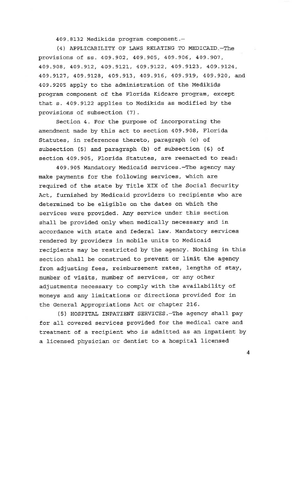409.8132 Medikids program component.

(4) APPLICABILITY OF LAWS RELATING TO MEDICAID -The provisions of ss. 409.902, 409.905, 409.906, 409.907, 409.908, 409.912, 409.9121, 409.9122, 409.9123, 409.9124, 409.9127, 409.9128, 409.913, 409.916, 409.919, 409.920, and 409.9205 apply to the administration of the Medikids program component of the Florida Kidcare program, except that s. 409.9122 applies to Medikids as modified by the provisions of subsection (7).

Section 4. For the purpose of incorporating the amendment made by this act to section 409.908, Florida Statutes, in references thereto, paragraph (c) of subsection (5) and paragraph (b) of subsection (6) of section 409.905, Florida Statutes, are reenacted to read:

409.905 Mandatory Medicaid services. - The agency may make payments for the following services, which are required of the state by Title XIX of the Social Security Act, furnished by Medicaid providers to recipients who are determined to be eligible on the dates on which the services were provided. Any service under this section shall be provided only when medically necessary and in accordance with state and federal law. Mandatory services rendered by providers in mobile units to Medicaid recipients may be restricted by the agency. Nothing in this section shall be construed to prevent or limit the agency from adjusting fees, reimbursement rates, lengths of stay, number of visits, number of services, or any other adjustments necessary to comply with the availability of moneys and any limitations or directions provided for in the General Appropriations Act or chapter 216.

(5) HOSPITAL INPATIENT SERVICES. The agency shall pay for all covered services provided for the medical care and treatment of a recipient who is admitted as an inpatient by a licensed physician or dentist to a hospital licensed

 $\overline{4}$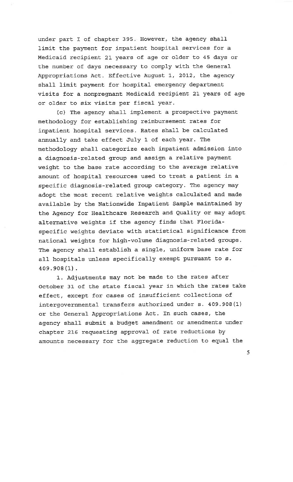under part I of chapter 395. However, the agency shall limit the payment for inpatient hospital services for a Medicaid recipient 21 years of age or older to 45 days or the number of days necessary to comply with the General Appropriations Act. Effective August 1, 2012, the agency shall limit payment for hospital emergency department visits for a nonpreqnant Medicaid recipient 21 years of age or older to six visits per fiscal year.

(c) The agency shall implement a prospective payment methodology for establishing reimbursement rates for inpatient hospital services. Rates shall be calculated annually and take effect July 1 of each year. The methodology shall categorize each inpatient admission into a diagnosis-related group and assign a relative payment weight to the base rate according to the average relative amount of hospital resources used to treat a patient in a specific diagnosis-related group category. The agency may adopt the most recent relative weights calculated and made available by the Nationwide Inpatient Sample maintained by the Agency for Healthcare Research and Quality or may adopt alternative weights if the agency finds that Floridaspecific weights deviate with statistical significance from national weights for high-volume diagnosis-related groups. The agency shall establish a single, uniform base rate for all hospitals unless specifically exempt pursuant to s.  $409.908(1)$ .

1. Adjustments may not be made to the rates after October 31 of the state fiscal year in which the rates take effect, except for cases of insufficient collections of intergovernmental transfers authorized under s. 409.908(1) or the General Appropriations Act. In such cases, the agency shall submit a budget amendment or amendments under chapter 216 requesting approval of rate reductions by amounts necessary for the aggregate reduction to equal the

5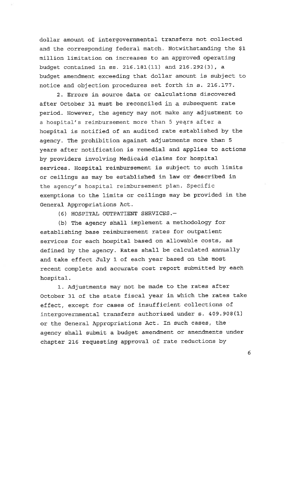dollar amount of intergovernmental transfers not collected and the corresponding federal match. Notwithstanding the \$1 million limitation on increases to an approved operating budget contained in ss. 216.181(11) and 216.292(3), a budget amendment exceeding that dollar amount is subject to notice and objection procedures set forth in s. 216.177.

2. Errors in source data or calculations discovered after October 31 must be reconciled in a subsequent rate period. However, the agency may not make any adjustment to a hospital's reimbursement more than 5 years after a hospital is notified of an audited rate established by the agency. The prohibition against adjustments more than 5 years after notification is remedial and applies to actions by providers involving Medicaid claims for hospital services. Hospital reimbursement is subject to such limits or ceilings as may be established in law or described in the agency's hospital reimbursement plan. Specific exemptions to the limits or ceilings may be provided in the General Appropriations Act.

(6) HOSPITAL OUTPATIENT SERVICES.-

(b) The agency shall implement a methodology for establishing base reimbursement rates for outpatient services for each hospital based on allowable costs, as defined by the agency. Rates shall be calculated annually and take effect July 1 of each year based on the most recent complete and accurate cost report submitted by each hospital.

1. Adjustments may not be made to the rates after October 31 of the state fiscal year in which the rates take effect, except for cases of insufficient collections of intergovernmental transfers authorized under s. 409.908(1) or the General Appropriations Act. In such cases, the agency shall submit a budget amendment or amendments under chapter 216 requesting approval of rate reductions by

6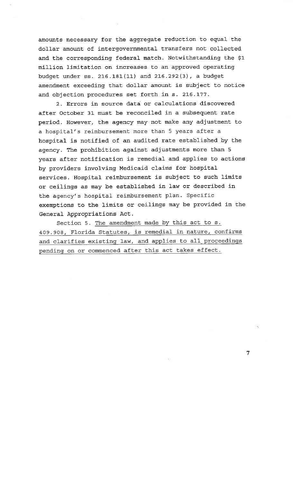amounts necessary for the aggregate reduction to equal the dollar amount of intergovernmental transfers not collected and the corresponding federal match. Notwithstanding the \$1 million limitation on increases to an approved operating budget under ss. 216.181(11) and 216.292(3), a budget amendment exceeding that dollar amount is subject to notice and objection procedures set forth in s. 216.177.

2. Errors in source data or calculations discovered after October 31 must be reconciled in a subsequent rate period. However, the agency may not make any adjustment to a hospital's reimbursement more than 5 years after a hospital is notified of an audited rate established by the agency. The prohibition against adjustments more than 5 years after notification is remedial and applies to actions by providers involving Medicaid claims for hospital services. Hospital reimbursement is subject to such limits or ceilings as may be established in law or described in the agency's hospital reimbursement plan. Specific exemptions to the limits or ceilings may be provided in the General Appropriations Act.

Section 5. The amendment made by this act to s. 409.908, Florida Statutes, is remedial in nature, confirms and clarifies existing law, and applies to all proceedings pending on or commenced after this act takes effect.

 $\overline{7}$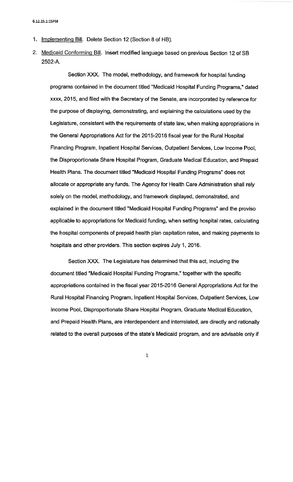- 1. Implementing Bill. Delete Section 12 (Section 8 of HB).
- 2. Medicaid Conforming Bill. Insert modified language based on previous Section 12 of SB 2502-A.

Section XXX. The model, methodology, and framework for hospital funding programs contained in the document titled "Medicaid Hospital Funding Programs," dated xxxx, 2015, and filed with the Secretary of the Senate, are incorporated by reference for the purpose of displaying, demonstrating, and explaining the calculations used by the Legislature, consistent with the requirements of state law, when making appropriations in the General Appropriations Act for the 2015-2016 fiscal year for the Rural Hospital Financing Program, Inpatient Hospital Services, Outpatient Services, Low Income Pool. the Disproportionate Share Hospital Program, Graduate Medical Education, and Prepaid Health Plans. The document titled "Medicaid Hospital Funding Programs" does not allocate or appropriate any funds. The Agency for Health Care Administration shall rely solely on the model, methodology, and framework displayed, demonstrated, and explained in the document titled "Medicaid Hospital Funding Programs" and the proviso applicable to appropriations for Medicaid funding, when setting hospital rates, calculating the hospital components of prepaid health plan capitation rates, and making payments to hospitals and other providers. This section expires July 1, 2016.

Section XXX. The Legislature has determined that this act, including the document titled "Medicaid Hospital Funding Programs," together with the specific appropriations contained in the fiscal year 2015-2016 General Appropriations Act for the Rural Hospital Financing Program, Inpatient Hospital Services, Outpatient Services, Low Income Pool, Disproportionate Share Hospital Program, Graduate Medical Education, and Prepaid Health Plans, are interdependent and interrelated, are directly and rationally related to the overall purposes of the state's Medicaid program, and are advisable only if

 $\mathbf 1$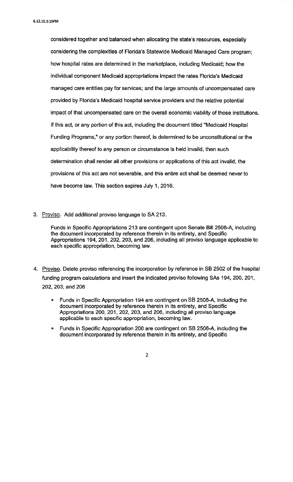considered together and balanced when allocating the state's resources, especially considering the complexities of Florida's Statewide Medicaid Managed Care program; how hospital rates are determined in the marketplace, including Medicaid; how the individual component Medicaid appropriations impact the rates Florida's Medicaid managed care entities pay for services; and the large amounts of uncompensated care provided by Florida's Medicaid hospital service providers and the relative potential impact of that uncompensated care on the overall economic viability of those institutions. If this act, or any portion of this act, including the document titled "Medicaid Hospital Funding Programs," or any portion thereof, is determined to be unconstitutional or the applicability thereof to any person or circumstance is held invalid, then such determination shall render all other provisions or applications of this act invalid, the provisions of this act are not severable, and this entire act shall be deemed never to have become law. This section expires July 1, 2016.

3. Proviso. Add additional proviso language to SA 213.

Funds in Specific Appropriations 213 are contingent upon Senate Bill 2508-A, including the document incorporated by reference therein in its entirety, and Specific Appropriations 194, 201, 202, 203, and 206, including all proviso language applicable to each specific appropriation, becoming law.

- 4. Proviso. Delete proviso referencing the incorporation by reference in SB 2502 of the hospital funding program calculations and insert the indicated proviso following SAs 194, 200, 201, 202, 203, and 206
	- Funds in Specific Appropriation 194 are contingent on SB 2508-A, including the document incorporated by reference therein in its entirety, and Specific Appropriations 200, 201, 202, 203, and 206, including all proviso language applicable to each specific appropriation, becoming law.
	- Funds in Specific Appropriation 200 are contingent on SB 2508-A, including the document incorporated by reference therein in its entirety, and Specific

 $\overline{2}$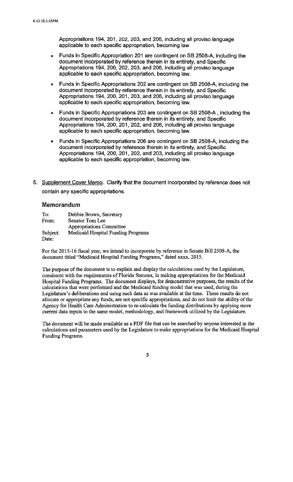Appropriations 194, 201, 202, 203, and 206, including all proviso language applicable to each specific appropriation, becoming law

- Funds in Specific Appropriation 201 are contingent on SB 2508-A, including the document incorporated by reference therein in its entirety, and Specific Appropriations 194, 200, 202, 203, and 206, including all proviso language applicable to each specific appropriation, becoming law.
- Funds in Specific Appropriations 202 are contingent on SB 2508-A, including the document incorporated by reference therein in its entirety, and Specific Appropriations 194, 200, 201, 203, and 206, including all proviso language applicable to each specific appropriation, becoming law.
- Funds in Specific Appropriations 203 are contingent on SB 2508-A, including the document incorporated by reference therein in its entirety, and Specific Appropriations 194, 200, 201, 202, and 206, including all proviso language applicable to each specific appropriation, becoming law.
- Funds in Specific Appropriations 206 are contingent on SB 2508-A, including the document incorporated by reference therein in its entirety, and Specific Appropriations 194, 200, 201, 202, and 203, including all proviso language applicable to each specific appropriation, becoming law.
- 5. Supplement Cover Memo. Clarify that the document incorporated by reference does not contain any specific appropriations.

#### **Memorandum**

| To:      | Debbie Brown, Secretary            |
|----------|------------------------------------|
| From:    | Senator Tom Lee                    |
|          | Appropriations Committee           |
| Subject: | Medicaid Hospital Funding Programs |
| Date:    |                                    |

For the 2015-16 fiscal year, we intend to incorporate by reference in Senate Bill 2508-A, the document titled "Medicaid Hospital Funding Programs," dated xxxx, 2015.

The purpose of the document is to explain and display the calculations used by the Legislature, consistent with the requirements of Florida Statutes, in making appropriations for the Medicaid Hospital Funding Programs. The document displays, for demonstrative purposes, the results of the calculations that were performed and the Medicaid funding model that was used, during the Legislature's deliberations and using such data as was available at the time. These results do not allocate or appropriate any funds, are not specific appropriations, and do not limit the ability of the Agency for Health Care Administration to re-calculate the funding distributions by applying more current data inputs to the same model, methodology, and framework utilized by the Legislature.

The document will be made available as a PDF file that can be searched by anyone interested in the calculations and parameters used by the Legislature to make appropriations for the Medicaid Hospital Funding Programs.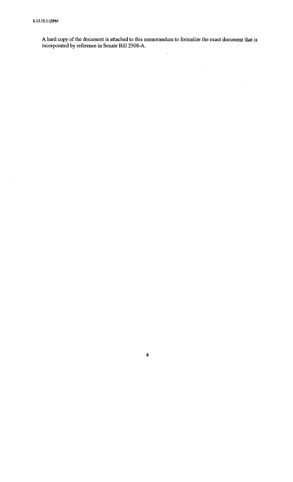$\bar{m}$ 

A hard copy of the document is attached to this memorandum to formalize the exact document that is incorporated by reference in Senate Bill 2508-A.

 $\overline{\mathbf{4}}$ 

é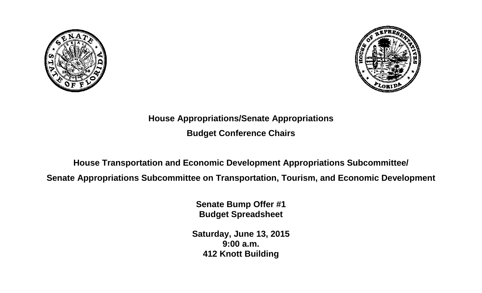



## **House Appropriations/Senate Appropriations Budget Conference Chairs**

## **House Transportation and Economic Development Appropriations Subcommittee/**

**Senate Appropriations Subcommittee on Transportation, Tourism, and Economic Development**

**Senate Bump Offer #1 Budget Spreadsheet**

**Saturday, June 13, 2015 9:00 a.m. 412 Knott Building**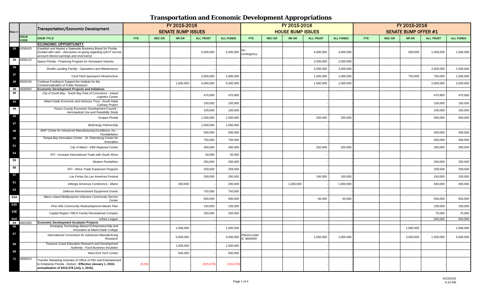|          |              | Transportation/Economic Development                                                                                                                                           | FY 2015-2016<br><b>SENATE BUMP ISSUES</b> |               |           |                  |                  |                            |               | FY 2015-2016             |                  |                  | FY 2015-2016<br><b>SENATE BUMP OFFER #1</b> |               |           |                  |                  |
|----------|--------------|-------------------------------------------------------------------------------------------------------------------------------------------------------------------------------|-------------------------------------------|---------------|-----------|------------------|------------------|----------------------------|---------------|--------------------------|------------------|------------------|---------------------------------------------|---------------|-----------|------------------|------------------|
| Row #    | <b>ISSUE</b> |                                                                                                                                                                               |                                           |               |           |                  |                  |                            |               | <b>HOUSE BUMP ISSUES</b> |                  |                  |                                             |               |           |                  |                  |
|          | <b>CODE</b>  | <b>ISSUE TITLE</b>                                                                                                                                                            | <b>FTE</b>                                | <b>REC GR</b> | NR GR     | <b>ALL TRUST</b> | <b>ALL FUNDS</b> | FTE.                       | <b>REC GR</b> | NR GR                    | <b>ALL TRUST</b> | <b>ALL FUNDS</b> | FTE:                                        | <b>REC GR</b> | NR GR     | <b>ALL TRUST</b> | <b>ALL FUNDS</b> |
|          |              | <b>ECONOMIC OPPORTUNITY</b>                                                                                                                                                   |                                           |               |           |                  |                  |                            |               |                          |                  |                  |                                             |               |           |                  |                  |
| 29       | 4200420      | Establish and Market a Statewide Business Brand for Florida<br>(funded with cash - discussion on-going regarding QACF escrow                                                  |                                           |               |           | 5,000,000        | 5,000,000        | ٧o                         |               |                          | 4,000,000        | 4,000,000        |                                             |               | 500,000   | 1,000,000        | 1,500,000        |
|          |              | account interest earnings and reversions)                                                                                                                                     |                                           |               |           |                  |                  | contingency                |               |                          |                  |                  |                                             |               |           |                  |                  |
| 35       | 4400110      | Space Florida - Financing Program for Aerospace Industry                                                                                                                      |                                           |               |           |                  |                  |                            |               |                          | 2,500,000        | 2,500,000        |                                             |               |           |                  |                  |
| 36       |              | Shuttle Landing Facility - Operations and Maintenance                                                                                                                         |                                           |               |           |                  |                  |                            |               |                          | 2,500,000        | 2,500,000        |                                             |               |           | 2,500,000        | 2,500,000        |
| 37       |              | Cecil Field Spaceport Infrastructure                                                                                                                                          |                                           |               |           | 2,000,000        | 2,000,000        |                            |               |                          | 1,000,000        | 1,000,000        |                                             |               | 750,000   | 750,000          | 1,500,000        |
| 38       | 4500100      | Continue Funding to Support the Institute for the<br>Commercialization of Public Research                                                                                     |                                           |               | 1,500,000 | 4,000,000        | 5,500,000        |                            |               |                          | 1,500,000        | 1,500,000        |                                             |               |           | 2,000,000        | 2,000,000        |
| 39<br>40 | 4600000      | Economic Development Projects and Initiatives                                                                                                                                 |                                           |               |           |                  |                  |                            |               |                          |                  |                  |                                             |               |           |                  |                  |
|          |              | City of South Bay - South Bay Park of Commerce - Inland<br><b>Logistics Center</b>                                                                                            |                                           |               |           | 470,900          | 470,900          |                            |               |                          |                  |                  |                                             |               |           | 470,900          | 470,900          |
| 42       |              | Miami-Dade Economic and Advisory Trust - South Dade<br><b>Culinary Project</b>                                                                                                |                                           |               |           | 150,000          | 150,000          |                            |               |                          |                  |                  |                                             |               |           | 100,000          | 100,000          |
| 44       |              | Pasco County Economic Development Council -<br>Aeronautical Use and Feasibility Study                                                                                         |                                           |               |           | 100,000          | 100,000          |                            |               |                          |                  |                  |                                             |               |           | 100,000          | 100,000          |
| 45       |              | Scripps Florida                                                                                                                                                               |                                           |               |           | 1,000,000        | 1,000,000        |                            |               |                          | 250,000          | 250,000          |                                             |               |           | 500,000          | 500,000          |
| 47       |              | <b>BioEnergy Partnership</b>                                                                                                                                                  |                                           |               |           | 1,000,000        | 1,000,000        |                            |               |                          |                  |                  |                                             |               |           |                  |                  |
| 48       |              | MAF Center for Advanced Manufacturing Excellence, Inc. -<br>FloridaMakes                                                                                                      |                                           |               |           | 500,000          | 500,000          |                            |               |                          |                  |                  |                                             |               |           | 400,000          | 400,000          |
| 49       |              | Tampa Bay Innovation Center - St. Petersburg Center for<br>Innovation                                                                                                         |                                           |               |           | 750,000          | 750,000          |                            |               |                          |                  |                  |                                             |               |           | 400,000          | 400,000          |
| 51       |              | City of Miami - EB5 Regional Center                                                                                                                                           |                                           |               |           | 400,000          | 400,000          |                            |               |                          | 250,000          | 250,000          |                                             |               |           | 350,000          | 350,000          |
| 54       |              | EFI - Increase International Trade with South Africa                                                                                                                          |                                           |               |           | 50,000           | 50,000           |                            |               |                          |                  |                  |                                             |               |           |                  |                  |
| 55       |              | <b>Modern Pentathlon</b>                                                                                                                                                      |                                           |               |           | 250,000          | 250,000          |                            |               |                          |                  |                  |                                             |               |           | 250,000          | 250,000          |
| 56       |              | EFI - Africa Trade Expansion Program                                                                                                                                          |                                           |               |           | 259,500          | 259,500          |                            |               |                          |                  |                  |                                             |               |           | 259,500          | 259,500          |
| 57       |              | Las Ferias De Las Americas Festival                                                                                                                                           |                                           |               |           | 250,000          | 250,000          |                            |               |                          | 150,000          | 150,000          |                                             |               |           | 150,000          | 150,000          |
| 61       |              | eMerge Americas Conference - Miami                                                                                                                                            |                                           |               | 200,000   |                  | 200,000          |                            |               | 1,000,000                |                  | 1,000,000        |                                             |               |           | 450,000          | 450,000          |
| 63       |              | Defense Reinvestment Equipment Grants                                                                                                                                         |                                           |               |           | 750,000          | 750,000          |                            |               |                          |                  |                  |                                             |               |           |                  |                  |
| 63A      |              | Marco Island Multipurpose Veterans Community Service<br>Center                                                                                                                |                                           |               |           | 500,000          | 500,000          |                            |               |                          | 50,000           | 50,000           |                                             |               |           | 500,000          | 500,000          |
| 63D      |              | Pine Hills Community Redevelopment Master Plan                                                                                                                                |                                           |               |           | 150,000          | 150,000          |                            |               |                          |                  |                  |                                             |               |           | 100,000          | 100,000          |
| 63E      |              | Capital Region YMCA Family Recreational Complex                                                                                                                               |                                           |               |           | 250,000          | 250,000          |                            |               |                          |                  |                  |                                             |               |           | 75,000           | 75,000           |
| 63G      |              | Urban Leaque                                                                                                                                                                  |                                           |               |           |                  |                  |                            |               |                          |                  |                  |                                             |               |           | 500,000          | 500,000          |
| 64<br>66 | 4601000      | <b>Economic Development Incubator Projects</b><br>Emerging Technology-Based Entrepreneurship and<br>Innovation at Miami-Dade College                                          |                                           |               | 1,000,000 |                  | 1,000,000        |                            |               |                          |                  |                  |                                             |               | 1,000,000 |                  | 1,000,000        |
| 67       |              | International Consortium for Advanced Manufacturing<br>Research                                                                                                               |                                           |               | 5,000,000 |                  | 5,000,000        | Placed under<br>IC 4600000 |               |                          | 1,000,000        | 1,000,000        |                                             |               | 3,500,000 | 1,500,000        | 5,000,000        |
| 68       |              | Treasure Coast Education Research and Development<br>Authority - Food Business Incubator                                                                                      |                                           |               | 1,000,000 |                  | 1,000,000        |                            |               |                          |                  |                  |                                             |               |           |                  |                  |
| 69       |              | West End Tech Center                                                                                                                                                          |                                           |               | 500,000   |                  | 500,000          |                            |               |                          |                  |                  |                                             |               |           |                  |                  |
| 71       | 4900010      | Transfer Marketing Activities of Office of Film and Entertainmen<br>to Enterprise Florida - Deduct - Effective January 1, 2016;<br>annualization of \$315,578 (July 1, 2016). | (5.00)                                    |               |           | (315, 578)       | (315, 578)       |                            |               |                          |                  |                  |                                             |               |           |                  |                  |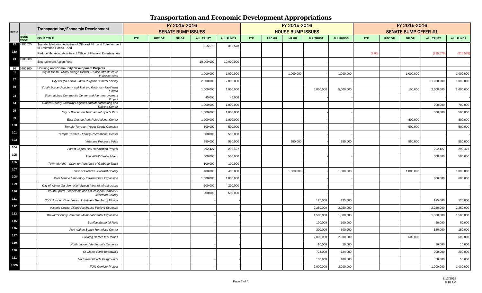| Row # |              | Transportation/Economic Development                                                              | FY 2015-2016<br><b>SENATE BUMP ISSUES</b> |               |       |                  |                  |      |               | FY 2015-2016             |                  |                  | FY 2015-2016<br><b>SENATE BUMP OFFER #1</b> |               |           |                  |                  |
|-------|--------------|--------------------------------------------------------------------------------------------------|-------------------------------------------|---------------|-------|------------------|------------------|------|---------------|--------------------------|------------------|------------------|---------------------------------------------|---------------|-----------|------------------|------------------|
|       | <b>ISSUE</b> |                                                                                                  |                                           |               |       |                  |                  |      |               | <b>HOUSE BUMP ISSUES</b> |                  |                  |                                             |               |           |                  |                  |
|       | CODE         | <b>ISSUE TITLE</b>                                                                               | FTE:                                      | <b>REC GR</b> | NR GR | <b>ALL TRUST</b> | <b>ALL FUNDS</b> | FTE. | <b>REC GR</b> | NR GR                    | <b>ALL TRUST</b> | <b>ALL FUNDS</b> | FTE.                                        | <b>REC GR</b> | NR GR     | <b>ALL TRUST</b> | <b>ALL FUNDS</b> |
| 72    | 4900020      | Transfer Marketing Activities of Office of Film and Entertainment<br>to Enterprise Florida - Add |                                           |               |       | 315,578          | 315,578          |      |               |                          |                  |                  |                                             |               |           |                  |                  |
| 72A   |              | Reduce Marketing Activities of Office of Film and Entertainment                                  |                                           |               |       |                  |                  |      |               |                          |                  |                  | (2.00)                                      |               |           | (215, 578)       | (215, 578)       |
| 73    | 4900300      | <b>Entertainment Action Fund</b>                                                                 |                                           |               |       | 10,000,000       | 10,000,000       |      |               |                          |                  |                  |                                             |               |           |                  |                  |
| 80    | 6400100      | <b>Housing and Community Development Projects</b>                                                |                                           |               |       |                  |                  |      |               |                          |                  |                  |                                             |               |           |                  |                  |
| 81    |              | City of Miami - Miami Design District - Public Infrastructure<br>Improvements                    |                                           |               |       | 1,000,000        | 1,000,000        |      |               | 1,000,000                |                  | 1,000,000        |                                             |               | 1,000,000 |                  | 1,000,000        |
| 87    |              | City of Opa-Locka - Multi-Purpose Cultural Facility                                              |                                           |               |       | 2,000,000        | 2,000,000        |      |               |                          |                  |                  |                                             |               |           | 1,000,000        | 1,000,000        |
| 89    |              | Youth Soccer Academy and Training Grounds - Northeast<br>Florida                                 |                                           |               |       | 1,000,000        | 1,000,000        |      |               |                          | 5,000,000        | 5,000,000        |                                             |               | 100,000   | 2,500,000        | 2,600,000        |
| 93    |              | Steinhatchee Community Center and Pier Improvement<br>Project                                    |                                           |               |       | 45,000           | 45,000           |      |               |                          |                  |                  |                                             |               |           |                  |                  |
| 94    |              | Glades County Gateway Logistics and Manufacturing and<br><b>Training Center</b>                  |                                           |               |       | 1,000,000        | 1,000,000        |      |               |                          |                  |                  |                                             |               |           | 700,000          | 700,000          |
| 95    |              | City of Bradenton Tournament Sports Park                                                         |                                           |               |       | 1,000,000        | 1,000,000        |      |               |                          |                  |                  |                                             |               |           | 500,000          | 500,000          |
| 99    |              | East Orange Park Recreational Center                                                             |                                           |               |       | 1,000,000        | 1,000,000        |      |               |                          |                  |                  |                                             |               | 800,000   |                  | 800,000          |
| 100   |              | Temple Terrace - Youth Sports Complex                                                            |                                           |               |       | 500,000          | 500,000          |      |               |                          |                  |                  |                                             |               | 500,000   |                  | 500,000          |
| 101   |              | Temple Terrace - Family Recreational Center                                                      |                                           |               |       | 500,000          | 500,000          |      |               |                          |                  |                  |                                             |               |           |                  |                  |
| 103   |              | Veterans Progress Villas                                                                         |                                           |               |       | 550,000          | 550,000          |      |               | 550,000                  |                  | 550,000          |                                             |               | 550,000   |                  | 550,000          |
| 104   |              | <b>Forest Capital Hall Renovation Project</b>                                                    |                                           |               |       | 292,427          | 292,427          |      |               |                          |                  |                  |                                             |               |           | 292,427          | 292,427          |
| 105   |              | The WOW Center Miami                                                                             |                                           |               |       | 500,000          | 500,000          |      |               |                          |                  |                  |                                             |               |           | 500,000          | 500,000          |
| 106   |              | Town of Altha - Grant for Purchase of Garbage Truck                                              |                                           |               |       | 100,000          | 100,000          |      |               |                          |                  |                  |                                             |               |           |                  |                  |
| 107   |              | Field of Dreams - Brevard County                                                                 |                                           |               |       | 400,000          | 400,000          |      |               | 1,000,000                |                  | 1,000,000        |                                             |               | 1,000,000 |                  | 1,000,000        |
| 108   |              | Mote Marine Laboratory Infrastructure Expansion                                                  |                                           |               |       | 1,000,000        | 1,000,000        |      |               |                          |                  |                  |                                             |               |           | 600,000          | 600,000          |
| 109   |              | City of Winter Garden - High Speed Intranet Infrastructure                                       |                                           |               |       | 200,000          | 200,000          |      |               |                          |                  |                  |                                             |               |           |                  |                  |
| 110   |              | Youth Sports, Leadership and Educational Complex -<br>Jefferson County                           |                                           |               |       | 500,000          | 500,000          |      |               |                          |                  |                  |                                             |               |           |                  |                  |
| 111   |              | I/DD Housing Coordination Initiative - The Arc of Florida                                        |                                           |               |       |                  |                  |      |               |                          | 125,000          | 125,000          |                                             |               |           | 125,000          | 125,000          |
| 112   |              | Historic Cocoa Village Playhouse Parking Structure                                               |                                           |               |       |                  |                  |      |               |                          | 2,250,000        | 2,250,000        |                                             |               |           | 2,250,000        | 2,250,000        |
| 113   |              | Brevard County Veterans Memorial Center Expansion                                                |                                           |               |       |                  |                  |      |               |                          | 1,500,000        | 1,500,000        |                                             |               |           | 1,500,000        | 1,500,000        |
| 115   |              | <b>Bonifay Memorial Field</b>                                                                    |                                           |               |       |                  |                  |      |               |                          | 100,000          | 100,000          |                                             |               |           | 50,000           | 50,000           |
| 116   |              | Fort Walton Beach Homeless Center                                                                |                                           |               |       |                  |                  |      |               |                          | 300,000          | 300,000          |                                             |               |           | 150,000          | 150,000          |
| 117   |              | <b>Building Homes for Heroes</b>                                                                 |                                           |               |       |                  |                  |      |               |                          | 2,000,000        | 2,000,000        |                                             |               | 600,000   |                  | 600,000          |
| 119   |              | North Lauderdale Security Cameras                                                                |                                           |               |       |                  |                  |      |               |                          | 10,000           | 10,000           |                                             |               |           | 10,000           | 10,000           |
| 120   |              | St. Marks River Boardwalk                                                                        |                                           |               |       |                  |                  |      |               |                          | 724,000          | 724,000          |                                             |               |           | 200,000          | 200,000          |
| 121   |              | Northwest Florida Fairgrounds                                                                    |                                           |               |       |                  |                  |      |               |                          | 100,000          | 100,000          |                                             |               |           | 50,000           | 50,000           |
| 122A  |              | <b>FOIL Corridor Project</b>                                                                     |                                           |               |       |                  |                  |      |               |                          | 2,000,000        | 2,000,000        |                                             |               |           | 1,000,000        | 1,000,000        |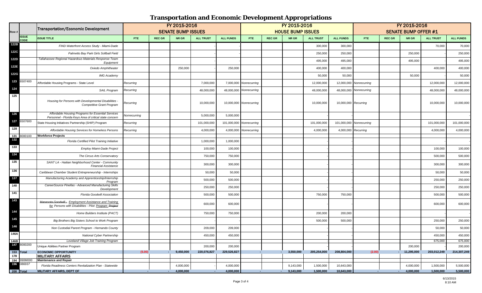| Row #            |                             | Transportation/Economic Development                                                                            |                             |               | FY 2015-2016<br><b>SENATE BUMP ISSUES</b> |                  |                  |                         |               | FY 2015-2016<br><b>HOUSE BUMP ISSUES</b> |                  |                          | FY 2015-2016<br><b>SENATE BUMP OFFER #1</b> |               |               |                  |                    |
|------------------|-----------------------------|----------------------------------------------------------------------------------------------------------------|-----------------------------|---------------|-------------------------------------------|------------------|------------------|-------------------------|---------------|------------------------------------------|------------------|--------------------------|---------------------------------------------|---------------|---------------|------------------|--------------------|
|                  | <b>ISSUE</b><br><b>CODE</b> | <b>ISSUE TITLE</b>                                                                                             | <b>FTE</b>                  | <b>REC GR</b> | NR GR                                     | <b>ALL TRUST</b> | <b>ALL FUNDS</b> | <b>FTE</b>              | <b>REC GR</b> | NR GR                                    | <b>ALL TRUST</b> | <b>ALL FUNDS</b>         | FTE:                                        | <b>REC GR</b> | NR GR         | <b>ALL TRUST</b> | <b>ALL FUNDS</b>   |
| 122B             |                             | FIND Waterfront Access Study - Miami-Dade                                                                      |                             |               |                                           |                  |                  |                         |               |                                          | 300,000          | 300,000                  |                                             |               |               | 70,000           | 70,000             |
| 122C             |                             | Palmetto Bay Park Girls Softball Field                                                                         |                             |               |                                           |                  |                  |                         |               |                                          | 250,000          | 250,000                  |                                             |               | 250,000       |                  | 250,000            |
| 122D             |                             | Tallahassee Regional Hazardous Materials Response Team<br>Equipment                                            |                             |               |                                           |                  |                  |                         |               |                                          | 495,000          | 495,000                  |                                             |               | 495,000       |                  | 495,000            |
| 122E             |                             | Oviedo Amphitheater                                                                                            |                             |               | 250,000                                   |                  | 250,000          |                         |               |                                          | 400,000          | 400,000                  |                                             |               |               | 400,000          | 400,000            |
| 122G             |                             | <b>IMG Academy</b>                                                                                             |                             |               |                                           |                  |                  |                         |               |                                          | 50,000           | 50,000                   |                                             |               | 50,000        |                  | 50,000             |
| 123              | 6507400                     | Affordable Housing Programs - State Level                                                                      | Recurring                   |               |                                           | 7,000,000        | 7,000,000        | Nonrecurring            |               |                                          | 12,000,000       |                          | 12,000,000 Nonrecurring                     |               |               | 12,000,000       | 12,000,000         |
| 124              |                             | <b>SAIL Program</b>                                                                                            | Recurring                   |               |                                           | 48,000,000       | 48,000,000       | Nonrecurring            |               |                                          | 48,000,000       |                          | 48,000,000 Nonrecurring                     |               |               | 48,000,000       | 48,000,000         |
| 125              |                             | Housing for Persons with Developmental Disabilities<br><b>Competitive Grant Program</b>                        | Recurring                   |               |                                           | 10,000,000       |                  | 10,000,000 Nonrecurring |               |                                          | 10,000,000       | 10,000,000 Recurring     |                                             |               |               | 10,000,000       | 10,000,000         |
| 126              |                             | Affordable Housing Programs for Essential Services<br>Personnel - Florida Keys Area of critical state concern  | Vonrecurring                |               |                                           | 5,000,000        | 5,000,000        |                         |               |                                          |                  |                          |                                             |               |               |                  |                    |
| 127              | 6507600                     | State Housing Initiatives Partnership (SHIP) Program                                                           | Recurring                   |               |                                           | 101,000,000      | 101,000,000      | Nonrecurring            |               |                                          | 101,000,000      | 101,000,000 Nonrecurring |                                             |               |               | 101,000,000      | 101,000,000        |
| 128              |                             | Affordable Housing Services for Homeless Persons                                                               | Recurring                   |               |                                           | 4,000,000        | 4,000,000        | Nonrecurring            |               |                                          | 4,000,000        | 4,000,000 Recurring      |                                             |               |               | 4,000,000        | 4,000,000          |
| 131<br>132       | 8000100                     | <b>Workforce Projects</b><br><b>Florida Certified Pilot Training Initiative</b>                                |                             |               |                                           |                  |                  |                         |               |                                          |                  |                          |                                             |               |               |                  |                    |
| 133              |                             |                                                                                                                |                             |               |                                           | 1,000,000        | 1,000,000        |                         |               |                                          |                  |                          |                                             |               |               |                  |                    |
| 134              |                             | <b>Employ Miami-Dade Project</b>                                                                               |                             |               |                                           | 100,000          | 100,000          |                         |               |                                          |                  |                          |                                             |               |               | 100,000          | 100,000            |
| 135              |                             | The Circus Arts Conservatory<br>SANT LA - Haitian Neighborhood Center - Community                              |                             |               |                                           | 750,000          | 750,000          |                         |               |                                          |                  |                          |                                             |               |               | 500,000          | 500,000            |
|                  |                             | <b>Financial Assistance</b>                                                                                    |                             |               |                                           | 300,000          | 300,000          |                         |               |                                          |                  |                          |                                             |               |               | 300,000          | 300,000            |
| 136              |                             | Caribbean Chamber Student Entrepreneurship - Internships                                                       |                             |               |                                           | 50,000           | 50,000           |                         |               |                                          |                  |                          |                                             |               |               | 50,000           | 50,000             |
| 137              |                             | Manufacturing Academy and Apprenticeship/Internship<br>Program                                                 |                             |               |                                           | 500,000          | 500,000          |                         |               |                                          |                  |                          |                                             |               |               | 250,000          | 250,000            |
| 140              |                             | CareerSource Pinellas - Advanced Manufacturing Skills<br>Development                                           |                             |               |                                           | 250,000          | 250,000          |                         |               |                                          |                  |                          |                                             |               |               | 250,000          | 250,000            |
| 141              |                             | Florida Goodwill Association                                                                                   |                             |               |                                           | 500,000          | 500,000          |                         |               |                                          | 750,000          | 750,000                  |                                             |               |               | 500,000          | 500,000            |
| 143              |                             | Manasota Goodwill- Employment Assistance and Training<br>for Persons with Disabilities - Pilot Program Project |                             |               |                                           | 600,000          | 600,000          |                         |               |                                          |                  |                          |                                             |               |               | 600,000          | 600,000            |
| 144              |                             | Home Builders Institute (PACT)                                                                                 |                             |               |                                           | 750,000          | 750,000          |                         |               |                                          | 200,000          | 200,000                  |                                             |               |               |                  |                    |
| 145              |                             | Big Brothers Big Sisters School to Work Program                                                                |                             |               |                                           |                  |                  |                         |               |                                          | 500,000          | 500,000                  |                                             |               |               | 250,000          | 250,000            |
| 146              |                             | Non Custodial Parent Program - Hernando County                                                                 |                             |               |                                           | 209,000          | 209,000          |                         |               |                                          |                  |                          |                                             |               |               | 50,000           | 50,000             |
| 146A             |                             | National Cyber Partnership                                                                                     |                             |               |                                           | 450,000          | 450,000          |                         |               |                                          |                  |                          |                                             |               |               | 450,000          | 450,000            |
| 146B<br>147      | 8000200                     | Loveland Village Job Training Program<br>Unique Abilities Partner Program                                      |                             |               |                                           | 200,000          | 200,000          |                         |               |                                          |                  |                          |                                             |               | 200,000       | 675,000          | 675,000<br>200,000 |
| 153 Total<br>178 |                             | <b>ECONOMIC OPPORTUNITY</b><br><b>MILITARY AFFAIRS</b>                                                         | (5.00)                      |               | 9,450,000                                 | 220,076,827      | 229,526,827      |                         |               | 3,550,000                                | 205,254,000      | 208,804,000              | (2.00)                                      |               | $-11,295,000$ | 203,012,249      | 214,307,249        |
| 194              | 990M000                     | <b>Maintenance and Repair</b>                                                                                  |                             |               |                                           |                  |                  |                         |               |                                          |                  |                          |                                             |               |               |                  |                    |
| 196              | 086937                      | Florida Readiness Centers Revitalization Plan - Statewide                                                      |                             |               | 4,000,000                                 |                  | 4,000,000        |                         |               | 9,143,000                                | 1,500,000        | 10,643,000               |                                             |               | 4,000,000     | 1,500,000        | 5,500,000          |
| 200 Total        |                             | MILITARY AFFAIRS, DEPT OF                                                                                      | <b><i><u>Part 1</u></i></b> |               | 4,000,000                                 |                  | 4,000,000        |                         | $\sim$        | 9,143,000                                | 1,500,000        | 10,643,000               |                                             |               | 4,000,000     | 1,500,000        | 5,500,000          |